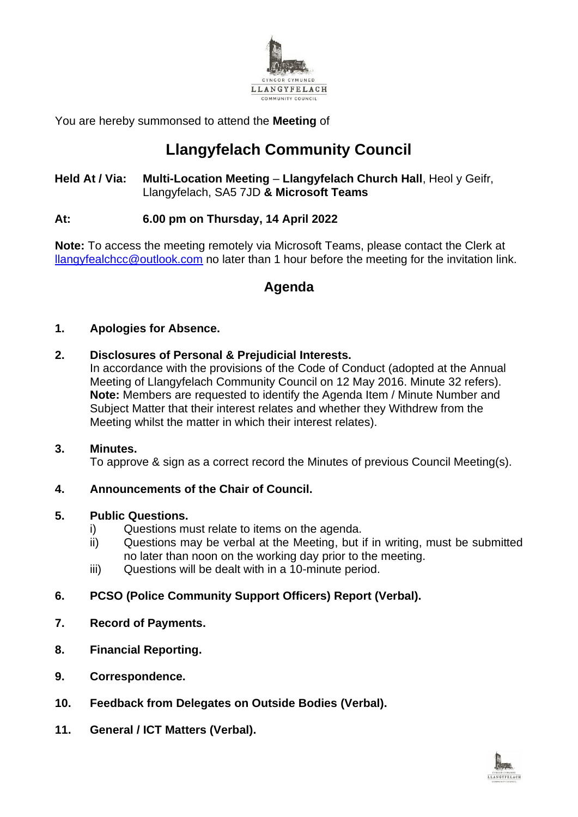

You are hereby summonsed to attend the **Meeting** of

# **Llangyfelach Community Council**

# **Held At / Via: Multi-Location Meeting** – **Llangyfelach Church Hall**, Heol y Geifr, Llangyfelach, SA5 7JD **& Microsoft Teams**

# **At: 6.00 pm on Thursday, 14 April 2022**

**Note:** To access the meeting remotely via Microsoft Teams, please contact the Clerk at [llangyfealchcc@outlook.com](mailto:llangyfealchcc@outlook.com) no later than 1 hour before the meeting for the invitation link.

# **Agenda**

# **1. Apologies for Absence.**

# **2. Disclosures of Personal & Prejudicial Interests.**

In accordance with the provisions of the Code of Conduct (adopted at the Annual Meeting of Llangyfelach Community Council on 12 May 2016. Minute 32 refers). **Note:** Members are requested to identify the Agenda Item / Minute Number and Subject Matter that their interest relates and whether they Withdrew from the Meeting whilst the matter in which their interest relates).

#### **3. Minutes.**

To approve & sign as a correct record the Minutes of previous Council Meeting(s).

# **4. Announcements of the Chair of Council.**

### **5. Public Questions.**

- i) Questions must relate to items on the agenda.
- ii) Questions may be verbal at the Meeting, but if in writing, must be submitted no later than noon on the working day prior to the meeting.
- iii) Questions will be dealt with in a 10-minute period.

# **6. PCSO (Police Community Support Officers) Report (Verbal).**

- **7. Record of Payments.**
- **8. Financial Reporting.**
- **9. Correspondence.**
- **10. Feedback from Delegates on Outside Bodies (Verbal).**
- **11. General / ICT Matters (Verbal).**